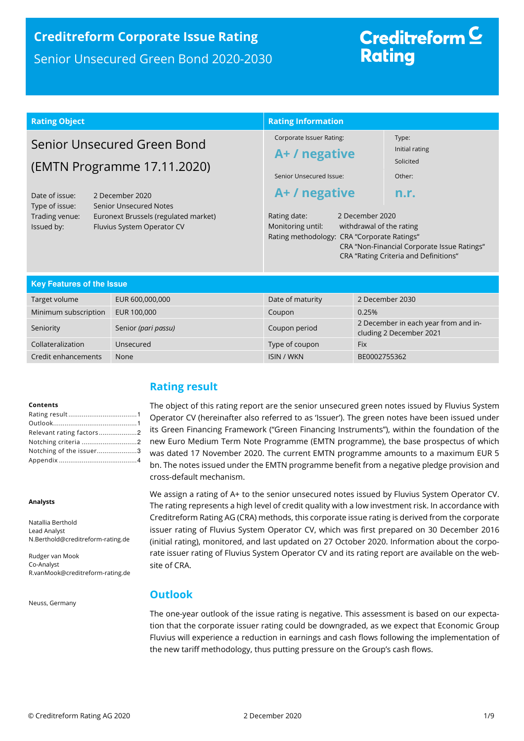# **Creditreform Corporate Issue Rating**  Senior Unsecured Green Bond 2020-2030

# Creditreform  $\subseteq$ **Rating**

| <b>Rating Object</b>                                                                                                                                                                                                                                     |                     | <b>Rating Information</b>                                                                                                                                                                                                                      |                                                                 |  |
|----------------------------------------------------------------------------------------------------------------------------------------------------------------------------------------------------------------------------------------------------------|---------------------|------------------------------------------------------------------------------------------------------------------------------------------------------------------------------------------------------------------------------------------------|-----------------------------------------------------------------|--|
| Senior Unsecured Green Bond<br>(EMTN Programme 17.11.2020)<br>Date of issue:<br>2 December 2020<br><b>Senior Unsecured Notes</b><br>Type of issue:<br>Trading venue:<br>Euronext Brussels (regulated market)<br>Issued by:<br>Fluvius System Operator CV |                     | Corporate Issuer Rating:<br>A+ / negative                                                                                                                                                                                                      | Type:<br>Initial rating<br>Solicited                            |  |
|                                                                                                                                                                                                                                                          |                     | Senior Unsecured Issue:                                                                                                                                                                                                                        | Other:                                                          |  |
|                                                                                                                                                                                                                                                          |                     | A+/negative<br>n.r.<br>2 December 2020<br>Rating date:<br>Monitoring until:<br>withdrawal of the rating<br>Rating methodology: CRA "Corporate Ratings"<br>CRA "Non-Financial Corporate Issue Ratings"<br>CRA "Rating Criteria and Definitions" |                                                                 |  |
| <b>Key Features of the Issue</b>                                                                                                                                                                                                                         |                     |                                                                                                                                                                                                                                                |                                                                 |  |
| Target volume                                                                                                                                                                                                                                            | EUR 600,000,000     | Date of maturity                                                                                                                                                                                                                               | 2 December 2030                                                 |  |
| Minimum subscription                                                                                                                                                                                                                                     | EUR 100,000         | Coupon                                                                                                                                                                                                                                         | 0.25%                                                           |  |
| Seniority                                                                                                                                                                                                                                                | Senior (pari passu) | Coupon period                                                                                                                                                                                                                                  | 2 December in each year from and in-<br>cluding 2 December 2021 |  |
| Collateralization                                                                                                                                                                                                                                        | Unsecured           | Type of coupon                                                                                                                                                                                                                                 | <b>Fix</b>                                                      |  |
| Credit enhancements                                                                                                                                                                                                                                      | None                | <b>ISIN / WKN</b>                                                                                                                                                                                                                              | BE0002755362                                                    |  |

#### **Contents**

| Relevant rating factors2 |  |
|--------------------------|--|
| Notching criteria 2      |  |
| Notching of the issuer3  |  |
|                          |  |

#### **Analysts**

Natallia Berthold Lead Analyst N.Berthold@creditreform-rating.de

Rudger van Mook Co-Analyst R.vanMook@creditreform-rating.de

Neuss, Germany

# **Rating result**

The object of this rating report are the senior unsecured green notes issued by Fluvius System Operator CV (hereinafter also referred to as 'Issuer'). The green notes have been issued under its Green Financing Framework ("Green Financing Instruments"), within the foundation of the new Euro Medium Term Note Programme (EMTN programme), the base prospectus of which was dated 17 November 2020. The current EMTN programme amounts to a maximum EUR 5 bn. The notes issued under the EMTN programme benefit from a negative pledge provision and cross-default mechanism.

We assign a rating of A+ to the senior unsecured notes issued by Fluvius System Operator CV. The rating represents a high level of credit quality with a low investment risk. In accordance with Creditreform Rating AG (CRA) methods, this corporate issue rating is derived from the corporate issuer rating of Fluvius System Operator CV, which was first prepared on 30 December 2016 (initial rating), monitored, and last updated on 27 October 2020. Information about the corporate issuer rating of Fluvius System Operator CV and its rating report are available on the website of CRA.

# **Outlook**

The one-year outlook of the issue rating is negative. This assessment is based on our expectation that the corporate issuer rating could be downgraded, as we expect that Economic Group Fluvius will experience a reduction in earnings and cash flows following the implementation of the new tariff methodology, thus putting pressure on the Group's cash flows.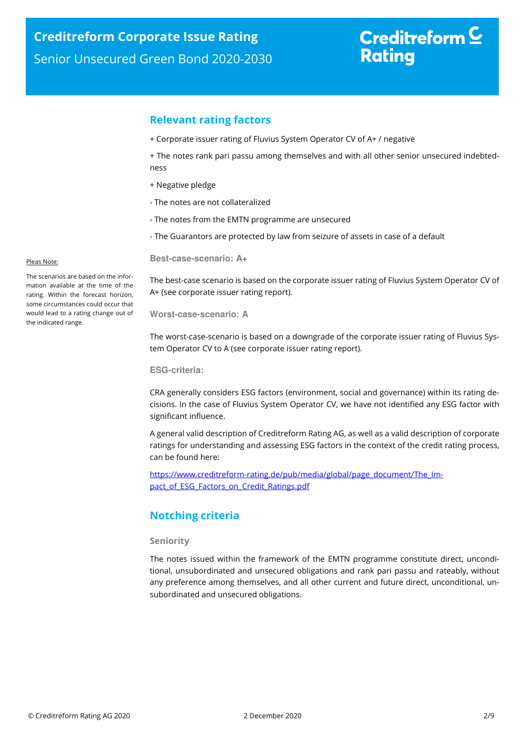# Creditreform  $C$ **Rating**

## **Relevant rating factors**

+ Corporate issuer rating of Fluvius System Operator CV of A+ / negative

+ The notes rank pari passu among themselves and with all other senior unsecured indebtedness

- + Negative pledge
- The notes are not collateralized
- The notes from the EMTN programme are unsecured
- The Guarantors are protected by law from seizure of assets in case of a default

**Best-case-scenario: A+** 

The best-case scenario is based on the corporate issuer rating of Fluvius System Operator CV of A+ (see corporate issuer rating report).

**Worst-case-scenario: A** 

The worst-case-scenario is based on a downgrade of the corporate issuer rating of Fluvius System Operator CV to A (see corporate issuer rating report).

**ESG-criteria:** 

CRA generally considers ESG factors (environment, social and governance) within its rating decisions. In the case of Fluvius System Operator CV, we have not identified any ESG factor with significant influence.

A general valid description of Creditreform Rating AG, as well as a valid description of corporate ratings for understanding and assessing ESG factors in the context of the credit rating process, can be found here:

https://www.creditreform-rating.de/pub/media/global/page\_document/The\_Impact of ESG Factors on Credit Ratings.pdf

# **Notching criteria**

### **Seniority**

The notes issued within the framework of the EMTN programme constitute direct, unconditional, unsubordinated and unsecured obligations and rank pari passu and rateably, without any preference among themselves, and all other current and future direct, unconditional, unsubordinated and unsecured obligations.

#### Pleas Note:

The scenarios are based on the information available at the time of the rating. Within the forecast horizon, some circumstances could occur that would lead to a rating change out of the indicated range.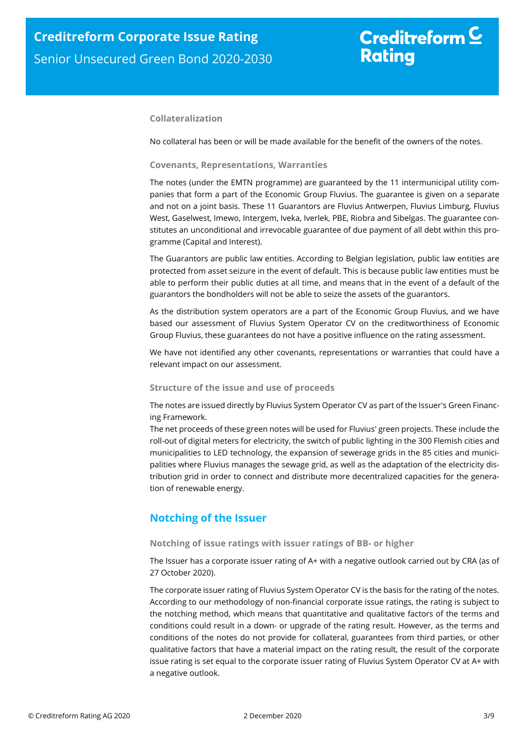# Creditreform  $C$ **Rating**

## **Collateralization**

No collateral has been or will be made available for the benefit of the owners of the notes.

### **Covenants, Representations, Warranties**

The notes (under the EMTN programme) are guaranteed by the 11 intermunicipal utility companies that form a part of the Economic Group Fluvius. The guarantee is given on a separate and not on a joint basis. These 11 Guarantors are Fluvius Antwerpen, Fluvius Limburg, Fluvius West, Gaselwest, Imewo, Intergem, Iveka, Iverlek, PBE, Riobra and Sibelgas. The guarantee constitutes an unconditional and irrevocable guarantee of due payment of all debt within this programme (Capital and Interest).

The Guarantors are public law entities. According to Belgian legislation, public law entities are protected from asset seizure in the event of default. This is because public law entities must be able to perform their public duties at all time, and means that in the event of a default of the guarantors the bondholders will not be able to seize the assets of the guarantors.

As the distribution system operators are a part of the Economic Group Fluvius, and we have based our assessment of Fluvius System Operator CV on the creditworthiness of Economic Group Fluvius, these guarantees do not have a positive influence on the rating assessment.

We have not identified any other covenants, representations or warranties that could have a relevant impact on our assessment.

### **Structure of the issue and use of proceeds**

The notes are issued directly by Fluvius System Operator CV as part of the Issuer's Green Financing Framework.

The net proceeds of these green notes will be used for Fluvius' green projects. These include the roll-out of digital meters for electricity, the switch of public lighting in the 300 Flemish cities and municipalities to LED technology, the expansion of sewerage grids in the 85 cities and municipalities where Fluvius manages the sewage grid, as well as the adaptation of the electricity distribution grid in order to connect and distribute more decentralized capacities for the generation of renewable energy.

# **Notching of the Issuer**

### **Notching of issue ratings with issuer ratings of BB- or higher**

The Issuer has a corporate issuer rating of A+ with a negative outlook carried out by CRA (as of 27 October 2020).

The corporate issuer rating of Fluvius System Operator CV is the basis for the rating of the notes. According to our methodology of non-financial corporate issue ratings, the rating is subject to the notching method, which means that quantitative and qualitative factors of the terms and conditions could result in a down- or upgrade of the rating result. However, as the terms and conditions of the notes do not provide for collateral, guarantees from third parties, or other qualitative factors that have a material impact on the rating result, the result of the corporate issue rating is set equal to the corporate issuer rating of Fluvius System Operator CV at A+ with a negative outlook.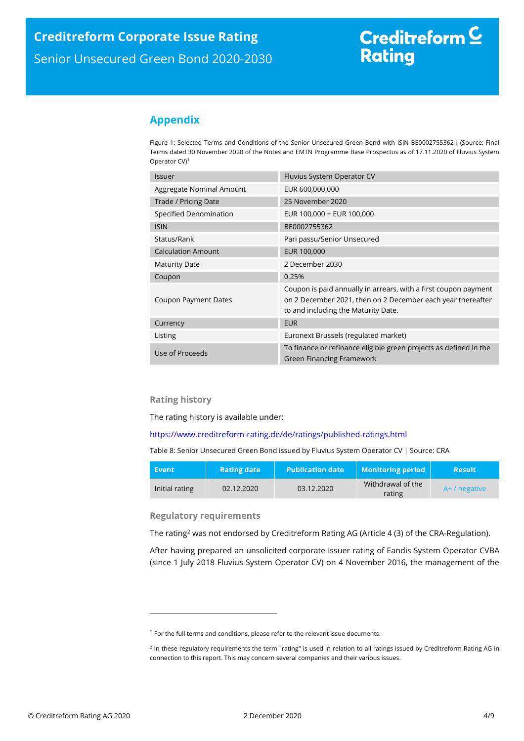# **Appendix**

Figure 1: Selected Terms and Conditions of the Senior Unsecured Green Bond with ISIN BE0002755362 I (Source: Final Terms dated 30 November 2020 of the Notes and EMTN Programme Base Prospectus as of 17.11.2020 of Fluvius System Operator CV)<sup>1</sup>

| <b>Issuer</b>               | Fluvius System Operator CV                                                                                                                                            |  |
|-----------------------------|-----------------------------------------------------------------------------------------------------------------------------------------------------------------------|--|
| Aggregate Nominal Amount    | EUR 600,000,000                                                                                                                                                       |  |
| Trade / Pricing Date        | 25 November 2020                                                                                                                                                      |  |
| Specified Denomination      | EUR 100,000 + EUR 100,000                                                                                                                                             |  |
| <b>ISIN</b>                 | BE0002755362                                                                                                                                                          |  |
| Status/Rank                 | Pari passu/Senior Unsecured                                                                                                                                           |  |
| <b>Calculation Amount</b>   | EUR 100,000                                                                                                                                                           |  |
| <b>Maturity Date</b>        | 2 December 2030                                                                                                                                                       |  |
| Coupon                      | 0.25%                                                                                                                                                                 |  |
| <b>Coupon Payment Dates</b> | Coupon is paid annually in arrears, with a first coupon payment<br>on 2 December 2021, then on 2 December each year thereafter<br>to and including the Maturity Date. |  |
| Currency                    | <b>EUR</b>                                                                                                                                                            |  |
| Listing                     | Euronext Brussels (regulated market)                                                                                                                                  |  |
| Use of Proceeds             | To finance or refinance eligible green projects as defined in the<br><b>Green Financing Framework</b>                                                                 |  |

## **Rating history**

l

The rating history is available under:

## https://www.creditreform-rating.de/de/ratings/published-ratings.html

Table 8: Senior Unsecured Green Bond issued by Fluvius System Operator CV | Source: CRA

| Event          | <b>Rating date</b> | l Publication date <sup>'</sup> | <b>Monitoring period</b>    | <b>Result</b>   |
|----------------|--------------------|---------------------------------|-----------------------------|-----------------|
| Initial rating | 02.12.2020         | 03.12.2020                      | Withdrawal of the<br>rating | $A+ /$ negative |

**Regulatory requirements** 

The rating<sup>2</sup> was not endorsed by Creditreform Rating AG (Article 4 (3) of the CRA-Regulation).

After having prepared an unsolicited corporate issuer rating of Eandis System Operator CVBA (since 1 July 2018 Fluvius System Operator CV) on 4 November 2016, the management of the

 $1$  For the full terms and conditions, please refer to the relevant issue documents.

<sup>&</sup>lt;sup>2</sup> In these regulatory requirements the term "rating" is used in relation to all ratings issued by Creditreform Rating AG in connection to this report. This may concern several companies and their various issues.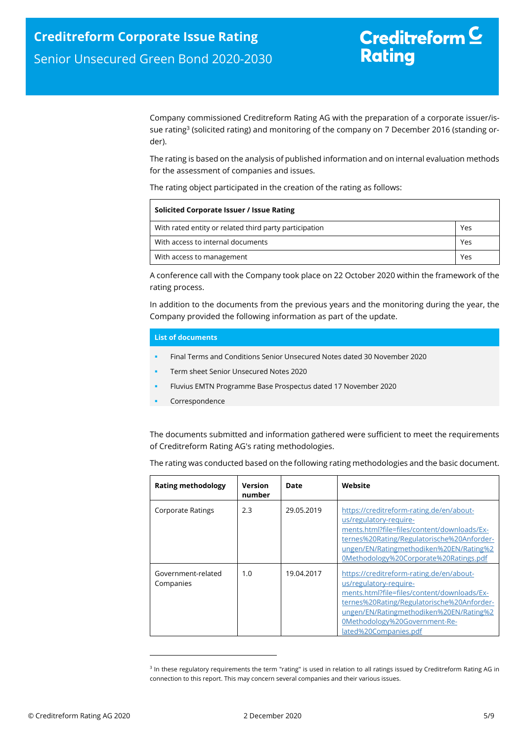Company commissioned Creditreform Rating AG with the preparation of a corporate issuer/issue rating<sup>3</sup> (solicited rating) and monitoring of the company on 7 December 2016 (standing order).

The rating is based on the analysis of published information and on internal evaluation methods for the assessment of companies and issues.

The rating object participated in the creation of the rating as follows:

| Solicited Corporate Issuer / Issue Rating              |     |  |  |
|--------------------------------------------------------|-----|--|--|
| With rated entity or related third party participation | Yes |  |  |
| With access to internal documents                      | Yes |  |  |
| With access to management                              | Yes |  |  |

A conference call with the Company took place on 22 October 2020 within the framework of the rating process.

In addition to the documents from the previous years and the monitoring during the year, the Company provided the following information as part of the update.

### **List of documents**

- Final Terms and Conditions Senior Unsecured Notes dated 30 November 2020
- Term sheet Senior Unsecured Notes 2020
- Fluvius EMTN Programme Base Prospectus dated 17 November 2020
- Correspondence

The documents submitted and information gathered were sufficient to meet the requirements of Creditreform Rating AG's rating methodologies.

The rating was conducted based on the following rating methodologies and the basic document.

| <b>Rating methodology</b>       | Version<br>number | Date       | Website                                                                                                                                                                                                                                                              |
|---------------------------------|-------------------|------------|----------------------------------------------------------------------------------------------------------------------------------------------------------------------------------------------------------------------------------------------------------------------|
| Corporate Ratings               | 2.3               | 29.05.2019 | https://creditreform-rating.de/en/about-<br>us/regulatory-require-<br>ments.html?file=files/content/downloads/Ex-<br>ternes%20Rating/Regulatorische%20Anforder-<br>ungen/EN/Ratingmethodiken%20EN/Rating%2<br>0Methodology%20Corporate%20Ratings.pdf                 |
| Government-related<br>Companies | 1.0               | 19.04.2017 | https://creditreform-rating.de/en/about-<br>us/regulatory-require-<br>ments.html?file=files/content/downloads/Ex-<br>ternes%20Rating/Regulatorische%20Anforder-<br>ungen/EN/Ratingmethodiken%20EN/Rating%2<br>0Methodology%20Government-Re-<br>lated%20Companies.pdf |

<sup>&</sup>lt;sup>3</sup> In these regulatory requirements the term "rating" is used in relation to all ratings issued by Creditreform Rating AG in connection to this report. This may concern several companies and their various issues.

ı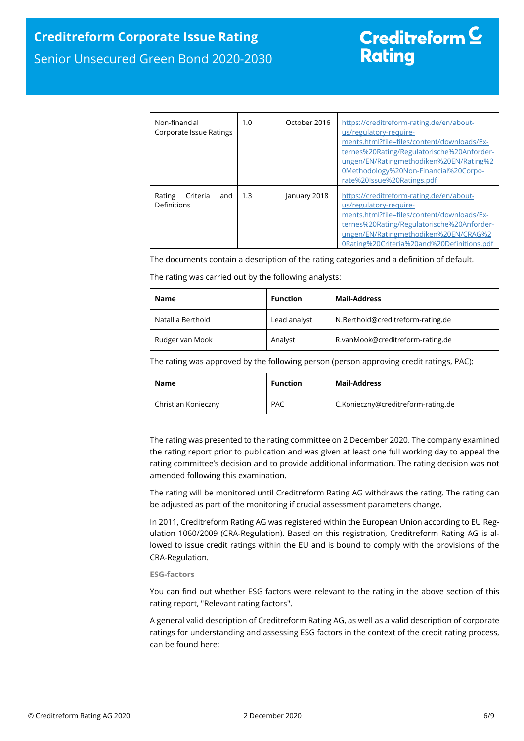| Non-financial<br>Corporate Issue Ratings | 1.0 | October 2016 | https://creditreform-rating.de/en/about-<br>us/regulatory-require-<br>ments.html?file=files/content/downloads/Ex-<br>ternes%20Rating/Regulatorische%20Anforder-<br>ungen/EN/Ratingmethodiken%20EN/Rating%2<br>0Methodology%20Non-Financial%20Corpo-<br>rate%20Issue%20Ratings.pdf |
|------------------------------------------|-----|--------------|-----------------------------------------------------------------------------------------------------------------------------------------------------------------------------------------------------------------------------------------------------------------------------------|
| Rating<br>Criteria<br>and<br>Definitions | 1.3 | January 2018 | https://creditreform-rating.de/en/about-<br>us/regulatory-require-<br>ments.html?file=files/content/downloads/Ex-<br>ternes%20Rating/Regulatorische%20Anforder-<br>ungen/EN/Ratingmethodiken%20EN/CRAG%2<br>0Rating%20Criteria%20and%20Definitions.pdf                            |

The documents contain a description of the rating categories and a definition of default.

The rating was carried out by the following analysts:

| Name              | <b>Function</b> | Mail-Address                      |
|-------------------|-----------------|-----------------------------------|
| Natallia Berthold | Lead analyst    | N.Berthold@creditreform-rating.de |
| Rudger van Mook   | Analyst         | R.vanMook@creditreform-rating.de  |

The rating was approved by the following person (person approving credit ratings, PAC):

| Name                | <b>Function</b> | Mail-Address                       |
|---------------------|-----------------|------------------------------------|
| Christian Konieczny | <b>PAC</b>      | C.Konieczny@creditreform-rating.de |

The rating was presented to the rating committee on 2 December 2020. The company examined the rating report prior to publication and was given at least one full working day to appeal the rating committee's decision and to provide additional information. The rating decision was not amended following this examination.

The rating will be monitored until Creditreform Rating AG withdraws the rating. The rating can be adjusted as part of the monitoring if crucial assessment parameters change.

In 2011, Creditreform Rating AG was registered within the European Union according to EU Regulation 1060/2009 (CRA-Regulation). Based on this registration, Creditreform Rating AG is allowed to issue credit ratings within the EU and is bound to comply with the provisions of the CRA-Regulation.

### **ESG-factors**

You can find out whether ESG factors were relevant to the rating in the above section of this rating report, "Relevant rating factors".

A general valid description of Creditreform Rating AG, as well as a valid description of corporate ratings for understanding and assessing ESG factors in the context of the credit rating process, can be found here: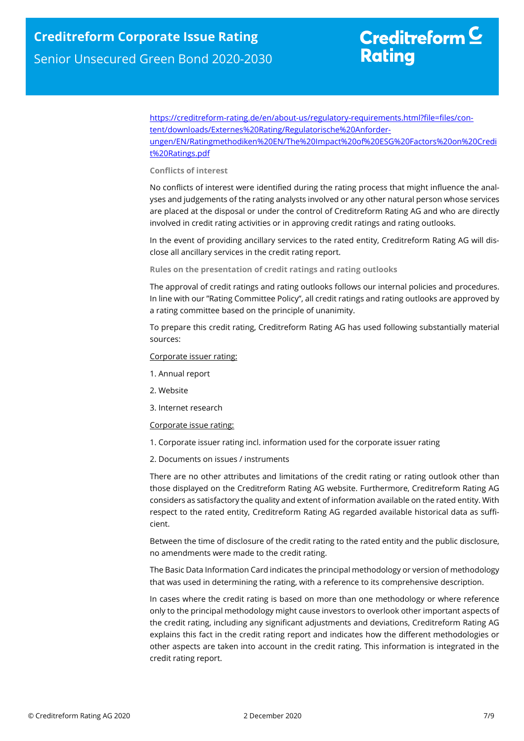https://creditreform-rating.de/en/about-us/regulatory-requirements.html?file=files/content/downloads/Externes%20Rating/Regulatorische%20Anforderungen/EN/Ratingmethodiken%20EN/The%20Impact%20of%20ESG%20Factors%20on%20Credi t%20Ratings.pdf

### **Conflicts of interest**

No conflicts of interest were identified during the rating process that might influence the analyses and judgements of the rating analysts involved or any other natural person whose services are placed at the disposal or under the control of Creditreform Rating AG and who are directly involved in credit rating activities or in approving credit ratings and rating outlooks.

In the event of providing ancillary services to the rated entity, Creditreform Rating AG will disclose all ancillary services in the credit rating report.

**Rules on the presentation of credit ratings and rating outlooks** 

The approval of credit ratings and rating outlooks follows our internal policies and procedures. In line with our "Rating Committee Policy", all credit ratings and rating outlooks are approved by a rating committee based on the principle of unanimity.

To prepare this credit rating, Creditreform Rating AG has used following substantially material sources:

#### Corporate issuer rating:

- 1. Annual report
- 2. Website
- 3. Internet research

#### Corporate issue rating:

- 1. Corporate issuer rating incl. information used for the corporate issuer rating
- 2. Documents on issues / instruments

There are no other attributes and limitations of the credit rating or rating outlook other than those displayed on the Creditreform Rating AG website. Furthermore, Creditreform Rating AG considers as satisfactory the quality and extent of information available on the rated entity. With respect to the rated entity, Creditreform Rating AG regarded available historical data as sufficient.

Between the time of disclosure of the credit rating to the rated entity and the public disclosure, no amendments were made to the credit rating.

The Basic Data Information Card indicates the principal methodology or version of methodology that was used in determining the rating, with a reference to its comprehensive description.

In cases where the credit rating is based on more than one methodology or where reference only to the principal methodology might cause investors to overlook other important aspects of the credit rating, including any significant adjustments and deviations, Creditreform Rating AG explains this fact in the credit rating report and indicates how the different methodologies or other aspects are taken into account in the credit rating. This information is integrated in the credit rating report.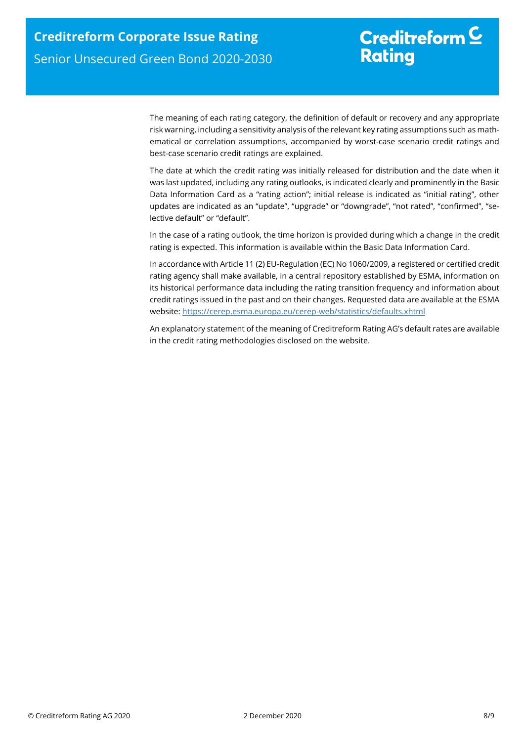# Creditreform  $C$ **Rating**

The meaning of each rating category, the definition of default or recovery and any appropriate risk warning, including a sensitivity analysis of the relevant key rating assumptions such as mathematical or correlation assumptions, accompanied by worst-case scenario credit ratings and best-case scenario credit ratings are explained.

The date at which the credit rating was initially released for distribution and the date when it was last updated, including any rating outlooks, is indicated clearly and prominently in the Basic Data Information Card as a "rating action"; initial release is indicated as "initial rating", other updates are indicated as an "update", "upgrade" or "downgrade", "not rated", "confirmed", "selective default" or "default".

In the case of a rating outlook, the time horizon is provided during which a change in the credit rating is expected. This information is available within the Basic Data Information Card.

In accordance with Article 11 (2) EU-Regulation (EC) No 1060/2009, a registered or certified credit rating agency shall make available, in a central repository established by ESMA, information on its historical performance data including the rating transition frequency and information about credit ratings issued in the past and on their changes. Requested data are available at the ESMA website: https://cerep.esma.europa.eu/cerep-web/statistics/defaults.xhtml

An explanatory statement of the meaning of Creditreform Rating AG's default rates are available in the credit rating methodologies disclosed on the website.